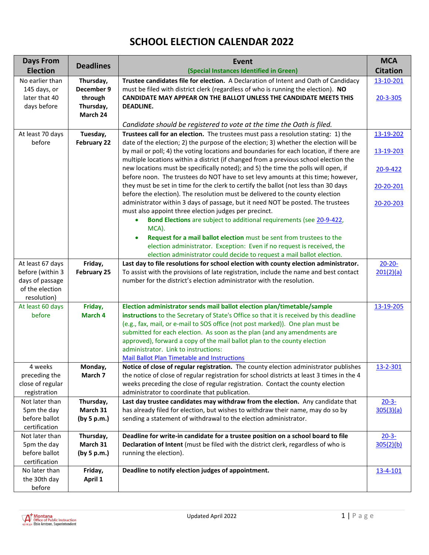## **SCHOOL ELECTION CALENDAR 2022**

| <b>Days From</b>               | <b>Deadlines</b>        | Event                                                                                                                                                                       | <b>MCA</b>      |
|--------------------------------|-------------------------|-----------------------------------------------------------------------------------------------------------------------------------------------------------------------------|-----------------|
| <b>Election</b>                |                         | (Special Instances Identified in Green)                                                                                                                                     | <b>Citation</b> |
| No earlier than                | Thursday,               | Trustee candidates file for election. A Declaration of Intent and Oath of Candidacy                                                                                         | 13-10-201       |
| 145 days, or                   | December 9              | must be filed with district clerk (regardless of who is running the election). NO                                                                                           |                 |
| later that 40                  | through                 | CANDIDATE MAY APPEAR ON THE BALLOT UNLESS THE CANDIDATE MEETS THIS                                                                                                          | 20-3-305        |
| days before                    | Thursday,<br>March 24   | <b>DEADLINE.</b>                                                                                                                                                            |                 |
|                                |                         |                                                                                                                                                                             |                 |
|                                |                         | Candidate should be registered to vote at the time the Oath is filed.                                                                                                       |                 |
| At least 70 days<br>before     | Tuesday,<br>February 22 | Trustees call for an election. The trustees must pass a resolution stating: 1) the<br>date of the election; 2) the purpose of the election; 3) whether the election will be | 13-19-202       |
|                                |                         | by mail or poll; 4) the voting locations and boundaries for each location, if there are                                                                                     | 13-19-203       |
|                                |                         | multiple locations within a district (if changed from a previous school election the                                                                                        |                 |
|                                |                         | new locations must be specifically noted); and 5) the time the polls will open, if                                                                                          | 20-9-422        |
|                                |                         | before noon. The trustees do NOT have to set levy amounts at this time; however,                                                                                            |                 |
|                                |                         | they must be set in time for the clerk to certify the ballot (not less than 30 days                                                                                         | 20-20-201       |
|                                |                         | before the election). The resolution must be delivered to the county election                                                                                               |                 |
|                                |                         | administrator within 3 days of passage, but it need NOT be posted. The trustees                                                                                             | 20-20-203       |
|                                |                         | must also appoint three election judges per precinct.                                                                                                                       |                 |
|                                |                         | Bond Elections are subject to additional requirements (see 20-9-422,<br>٠<br>MCA).                                                                                          |                 |
|                                |                         | Request for a mail ballot election must be sent from trustees to the<br>$\bullet$                                                                                           |                 |
|                                |                         | election administrator. Exception: Even if no request is received, the                                                                                                      |                 |
|                                |                         | election administrator could decide to request a mail ballot election.                                                                                                      |                 |
| At least 67 days               | Friday,                 | Last day to file resolutions for school election with county election administrator.                                                                                        | $20 - 20 -$     |
| before (within 3               | <b>February 25</b>      | To assist with the provisions of late registration, include the name and best contact                                                                                       | 201(2)(a)       |
| days of passage                |                         | number for the district's election administrator with the resolution.                                                                                                       |                 |
| of the election                |                         |                                                                                                                                                                             |                 |
| resolution)                    |                         |                                                                                                                                                                             |                 |
| At least 60 days<br>before     | Friday,<br>March 4      | Election administrator sends mail ballot election plan/timetable/sample<br>instructions to the Secretary of State's Office so that it is received by this deadline          | 13-19-205       |
|                                |                         | (e.g., fax, mail, or e-mail to SOS office (not post marked)). One plan must be                                                                                              |                 |
|                                |                         | submitted for each election. As soon as the plan (and any amendments are                                                                                                    |                 |
|                                |                         | approved), forward a copy of the mail ballot plan to the county election                                                                                                    |                 |
|                                |                         | administrator. Link to instructions:                                                                                                                                        |                 |
|                                |                         | <b>Mail Ballot Plan Timetable and Instructions</b>                                                                                                                          |                 |
| 4 weeks                        | Monday,                 | Notice of close of regular registration. The county election administrator publishes                                                                                        | 13-2-301        |
| preceding the                  | March 7                 | the notice of close of regular registration for school districts at least 3 times in the 4                                                                                  |                 |
| close of regular               |                         | weeks preceding the close of regular registration. Contact the county election<br>administrator to coordinate that publication.                                             |                 |
| registration<br>Not later than | Thursday,               | Last day trustee candidates may withdraw from the election. Any candidate that                                                                                              | $20 - 3 -$      |
| 5pm the day                    | March 31                | has already filed for election, but wishes to withdraw their name, may do so by                                                                                             | 305(3)(a)       |
| before ballot                  | (by 5 p.m.)             | sending a statement of withdrawal to the election administrator.                                                                                                            |                 |
| certification                  |                         |                                                                                                                                                                             |                 |
| Not later than                 | Thursday,               | Deadline for write-in candidate for a trustee position on a school board to file                                                                                            | $20 - 3 -$      |
| 5pm the day                    | March 31                | Declaration of Intent (must be filed with the district clerk, regardless of who is                                                                                          | 305(2)(b)       |
| before ballot                  | (by 5 p.m.)             | running the election).                                                                                                                                                      |                 |
| certification                  |                         |                                                                                                                                                                             |                 |
| No later than                  | Friday,                 | Deadline to notify election judges of appointment.                                                                                                                          | 13-4-101        |
| the 30th day                   | April 1                 |                                                                                                                                                                             |                 |
| before                         |                         |                                                                                                                                                                             |                 |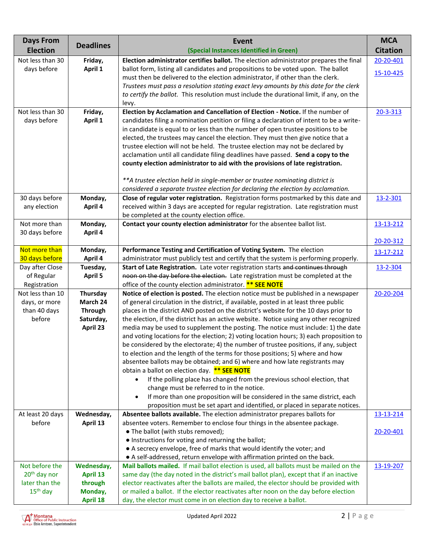| <b>Election</b><br><b>Citation</b><br>(Special Instances Identified in Green)<br>Not less than 30<br>Election administrator certifies ballot. The election administrator prepares the final<br>20-20-401<br>Friday,<br>April 1<br>ballot form, listing all candidates and propositions to be voted upon. The ballot<br>days before<br>15-10-425<br>must then be delivered to the election administrator, if other than the clerk.<br>Trustees must pass a resolution stating exact levy amounts by this date for the clerk<br>to certify the ballot. This resolution must include the durational limit, if any, on the<br>levy.<br>Election by Acclamation and Cancellation of Election - Notice. If the number of<br>Not less than 30<br>Friday,<br>20-3-313<br>days before<br>April 1<br>candidates filing a nomination petition or filing a declaration of intent to be a write-<br>in candidate is equal to or less than the number of open trustee positions to be<br>elected, the trustees may cancel the election. They must then give notice that a<br>trustee election will not be held. The trustee election may not be declared by<br>acclamation until all candidate filing deadlines have passed. Send a copy to the<br>county election administrator to aid with the provisions of late registration.<br>** A trustee election held in single-member or trustee nominating district is<br>considered a separate trustee election for declaring the election by acclamation.<br>Close of regular voter registration. Registration forms postmarked by this date and<br>30 days before<br>Monday,<br>13-2-301<br>April 4<br>received within 3 days are accepted for regular registration. Late registration must<br>any election<br>be completed at the county election office.<br>Monday,<br>Contact your county election administrator for the absentee ballot list.<br>Not more than<br>13-13-212<br>30 days before<br>April 4<br>20-20-312<br>Not more than<br>Monday,<br>Performance Testing and Certification of Voting System. The election<br>13-17-212<br>30 days before<br>April 4<br>administrator must publicly test and certify that the system is performing properly.<br>Start of Late Registration. Late voter registration starts and continues through<br>Day after Close<br>Tuesday,<br>13-2-304<br>noon on the day before the election. Late registration must be completed at the<br>of Regular<br><b>April 5</b><br>Registration<br>office of the county election administrator. <b>** SEE NOTE</b><br>Notice of election is posted. The election notice must be published in a newspaper<br>Not less than 10<br>Thursday<br>20-20-204<br>March 24<br>of general circulation in the district, if available, posted in at least three public<br>days, or more<br>than 40 days<br>places in the district AND posted on the district's website for the 10 days prior to<br><b>Through</b><br>the election, if the district has an active website. Notice using any other recognized<br>before<br>Saturday,<br>media may be used to supplement the posting. The notice must include: 1) the date<br>April 23<br>and voting locations for the election; 2) voting location hours; 3) each proposition to<br>be considered by the electorate; 4) the number of trustee positions, if any, subject<br>to election and the length of the terms for those positions; 5) where and how<br>absentee ballots may be obtained; and 6) where and how late registrants may<br>obtain a ballot on election day. ** SEE NOTE<br>If the polling place has changed from the previous school election, that<br>$\bullet$<br>change must be referred to in the notice.<br>If more than one proposition will be considered in the same district, each<br>$\bullet$<br>proposition must be set apart and identified, or placed in separate notices.<br>Wednesday,<br>Absentee ballots available. The election administrator prepares ballots for<br>At least 20 days<br>13-13-214<br>April 13<br>absentee voters. Remember to enclose four things in the absentee package.<br>before | <b>Days From</b> |                  | <b>Event</b>                       | <b>MCA</b> |
|-------------------------------------------------------------------------------------------------------------------------------------------------------------------------------------------------------------------------------------------------------------------------------------------------------------------------------------------------------------------------------------------------------------------------------------------------------------------------------------------------------------------------------------------------------------------------------------------------------------------------------------------------------------------------------------------------------------------------------------------------------------------------------------------------------------------------------------------------------------------------------------------------------------------------------------------------------------------------------------------------------------------------------------------------------------------------------------------------------------------------------------------------------------------------------------------------------------------------------------------------------------------------------------------------------------------------------------------------------------------------------------------------------------------------------------------------------------------------------------------------------------------------------------------------------------------------------------------------------------------------------------------------------------------------------------------------------------------------------------------------------------------------------------------------------------------------------------------------------------------------------------------------------------------------------------------------------------------------------------------------------------------------------------------------------------------------------------------------------------------------------------------------------------------------------------------------------------------------------------------------------------------------------------------------------------------------------------------------------------------------------------------------------------------------------------------------------------------------------------------------------------------------------------------------------------------------------------------------------------------------------------------------------------------------------------------------------------------------------------------------------------------------------------------------------------------------------------------------------------------------------------------------------------------------------------------------------------------------------------------------------------------------------------------------------------------------------------------------------------------------------------------------------------------------------------------------------------------------------------------------------------------------------------------------------------------------------------------------------------------------------------------------------------------------------------------------------------------------------------------------------------------------------------------------------------------------------------------------------------------------------------------------------------------------------------------------------------------------------------------------------------------------------------------------------------------------------------------------------------------------------------------------------------------------------------------------------------------------------------------------------------------------------------------------------------------------------------------------|------------------|------------------|------------------------------------|------------|
|                                                                                                                                                                                                                                                                                                                                                                                                                                                                                                                                                                                                                                                                                                                                                                                                                                                                                                                                                                                                                                                                                                                                                                                                                                                                                                                                                                                                                                                                                                                                                                                                                                                                                                                                                                                                                                                                                                                                                                                                                                                                                                                                                                                                                                                                                                                                                                                                                                                                                                                                                                                                                                                                                                                                                                                                                                                                                                                                                                                                                                                                                                                                                                                                                                                                                                                                                                                                                                                                                                                                                                                                                                                                                                                                                                                                                                                                                                                                                                                                                                                                                                 |                  | <b>Deadlines</b> |                                    |            |
|                                                                                                                                                                                                                                                                                                                                                                                                                                                                                                                                                                                                                                                                                                                                                                                                                                                                                                                                                                                                                                                                                                                                                                                                                                                                                                                                                                                                                                                                                                                                                                                                                                                                                                                                                                                                                                                                                                                                                                                                                                                                                                                                                                                                                                                                                                                                                                                                                                                                                                                                                                                                                                                                                                                                                                                                                                                                                                                                                                                                                                                                                                                                                                                                                                                                                                                                                                                                                                                                                                                                                                                                                                                                                                                                                                                                                                                                                                                                                                                                                                                                                                 |                  |                  |                                    |            |
|                                                                                                                                                                                                                                                                                                                                                                                                                                                                                                                                                                                                                                                                                                                                                                                                                                                                                                                                                                                                                                                                                                                                                                                                                                                                                                                                                                                                                                                                                                                                                                                                                                                                                                                                                                                                                                                                                                                                                                                                                                                                                                                                                                                                                                                                                                                                                                                                                                                                                                                                                                                                                                                                                                                                                                                                                                                                                                                                                                                                                                                                                                                                                                                                                                                                                                                                                                                                                                                                                                                                                                                                                                                                                                                                                                                                                                                                                                                                                                                                                                                                                                 |                  |                  |                                    |            |
|                                                                                                                                                                                                                                                                                                                                                                                                                                                                                                                                                                                                                                                                                                                                                                                                                                                                                                                                                                                                                                                                                                                                                                                                                                                                                                                                                                                                                                                                                                                                                                                                                                                                                                                                                                                                                                                                                                                                                                                                                                                                                                                                                                                                                                                                                                                                                                                                                                                                                                                                                                                                                                                                                                                                                                                                                                                                                                                                                                                                                                                                                                                                                                                                                                                                                                                                                                                                                                                                                                                                                                                                                                                                                                                                                                                                                                                                                                                                                                                                                                                                                                 |                  |                  |                                    |            |
|                                                                                                                                                                                                                                                                                                                                                                                                                                                                                                                                                                                                                                                                                                                                                                                                                                                                                                                                                                                                                                                                                                                                                                                                                                                                                                                                                                                                                                                                                                                                                                                                                                                                                                                                                                                                                                                                                                                                                                                                                                                                                                                                                                                                                                                                                                                                                                                                                                                                                                                                                                                                                                                                                                                                                                                                                                                                                                                                                                                                                                                                                                                                                                                                                                                                                                                                                                                                                                                                                                                                                                                                                                                                                                                                                                                                                                                                                                                                                                                                                                                                                                 |                  |                  |                                    |            |
|                                                                                                                                                                                                                                                                                                                                                                                                                                                                                                                                                                                                                                                                                                                                                                                                                                                                                                                                                                                                                                                                                                                                                                                                                                                                                                                                                                                                                                                                                                                                                                                                                                                                                                                                                                                                                                                                                                                                                                                                                                                                                                                                                                                                                                                                                                                                                                                                                                                                                                                                                                                                                                                                                                                                                                                                                                                                                                                                                                                                                                                                                                                                                                                                                                                                                                                                                                                                                                                                                                                                                                                                                                                                                                                                                                                                                                                                                                                                                                                                                                                                                                 |                  |                  |                                    |            |
|                                                                                                                                                                                                                                                                                                                                                                                                                                                                                                                                                                                                                                                                                                                                                                                                                                                                                                                                                                                                                                                                                                                                                                                                                                                                                                                                                                                                                                                                                                                                                                                                                                                                                                                                                                                                                                                                                                                                                                                                                                                                                                                                                                                                                                                                                                                                                                                                                                                                                                                                                                                                                                                                                                                                                                                                                                                                                                                                                                                                                                                                                                                                                                                                                                                                                                                                                                                                                                                                                                                                                                                                                                                                                                                                                                                                                                                                                                                                                                                                                                                                                                 |                  |                  |                                    |            |
|                                                                                                                                                                                                                                                                                                                                                                                                                                                                                                                                                                                                                                                                                                                                                                                                                                                                                                                                                                                                                                                                                                                                                                                                                                                                                                                                                                                                                                                                                                                                                                                                                                                                                                                                                                                                                                                                                                                                                                                                                                                                                                                                                                                                                                                                                                                                                                                                                                                                                                                                                                                                                                                                                                                                                                                                                                                                                                                                                                                                                                                                                                                                                                                                                                                                                                                                                                                                                                                                                                                                                                                                                                                                                                                                                                                                                                                                                                                                                                                                                                                                                                 |                  |                  |                                    |            |
|                                                                                                                                                                                                                                                                                                                                                                                                                                                                                                                                                                                                                                                                                                                                                                                                                                                                                                                                                                                                                                                                                                                                                                                                                                                                                                                                                                                                                                                                                                                                                                                                                                                                                                                                                                                                                                                                                                                                                                                                                                                                                                                                                                                                                                                                                                                                                                                                                                                                                                                                                                                                                                                                                                                                                                                                                                                                                                                                                                                                                                                                                                                                                                                                                                                                                                                                                                                                                                                                                                                                                                                                                                                                                                                                                                                                                                                                                                                                                                                                                                                                                                 |                  |                  |                                    |            |
|                                                                                                                                                                                                                                                                                                                                                                                                                                                                                                                                                                                                                                                                                                                                                                                                                                                                                                                                                                                                                                                                                                                                                                                                                                                                                                                                                                                                                                                                                                                                                                                                                                                                                                                                                                                                                                                                                                                                                                                                                                                                                                                                                                                                                                                                                                                                                                                                                                                                                                                                                                                                                                                                                                                                                                                                                                                                                                                                                                                                                                                                                                                                                                                                                                                                                                                                                                                                                                                                                                                                                                                                                                                                                                                                                                                                                                                                                                                                                                                                                                                                                                 |                  |                  |                                    |            |
|                                                                                                                                                                                                                                                                                                                                                                                                                                                                                                                                                                                                                                                                                                                                                                                                                                                                                                                                                                                                                                                                                                                                                                                                                                                                                                                                                                                                                                                                                                                                                                                                                                                                                                                                                                                                                                                                                                                                                                                                                                                                                                                                                                                                                                                                                                                                                                                                                                                                                                                                                                                                                                                                                                                                                                                                                                                                                                                                                                                                                                                                                                                                                                                                                                                                                                                                                                                                                                                                                                                                                                                                                                                                                                                                                                                                                                                                                                                                                                                                                                                                                                 |                  |                  |                                    |            |
|                                                                                                                                                                                                                                                                                                                                                                                                                                                                                                                                                                                                                                                                                                                                                                                                                                                                                                                                                                                                                                                                                                                                                                                                                                                                                                                                                                                                                                                                                                                                                                                                                                                                                                                                                                                                                                                                                                                                                                                                                                                                                                                                                                                                                                                                                                                                                                                                                                                                                                                                                                                                                                                                                                                                                                                                                                                                                                                                                                                                                                                                                                                                                                                                                                                                                                                                                                                                                                                                                                                                                                                                                                                                                                                                                                                                                                                                                                                                                                                                                                                                                                 |                  |                  |                                    |            |
|                                                                                                                                                                                                                                                                                                                                                                                                                                                                                                                                                                                                                                                                                                                                                                                                                                                                                                                                                                                                                                                                                                                                                                                                                                                                                                                                                                                                                                                                                                                                                                                                                                                                                                                                                                                                                                                                                                                                                                                                                                                                                                                                                                                                                                                                                                                                                                                                                                                                                                                                                                                                                                                                                                                                                                                                                                                                                                                                                                                                                                                                                                                                                                                                                                                                                                                                                                                                                                                                                                                                                                                                                                                                                                                                                                                                                                                                                                                                                                                                                                                                                                 |                  |                  |                                    |            |
|                                                                                                                                                                                                                                                                                                                                                                                                                                                                                                                                                                                                                                                                                                                                                                                                                                                                                                                                                                                                                                                                                                                                                                                                                                                                                                                                                                                                                                                                                                                                                                                                                                                                                                                                                                                                                                                                                                                                                                                                                                                                                                                                                                                                                                                                                                                                                                                                                                                                                                                                                                                                                                                                                                                                                                                                                                                                                                                                                                                                                                                                                                                                                                                                                                                                                                                                                                                                                                                                                                                                                                                                                                                                                                                                                                                                                                                                                                                                                                                                                                                                                                 |                  |                  |                                    |            |
|                                                                                                                                                                                                                                                                                                                                                                                                                                                                                                                                                                                                                                                                                                                                                                                                                                                                                                                                                                                                                                                                                                                                                                                                                                                                                                                                                                                                                                                                                                                                                                                                                                                                                                                                                                                                                                                                                                                                                                                                                                                                                                                                                                                                                                                                                                                                                                                                                                                                                                                                                                                                                                                                                                                                                                                                                                                                                                                                                                                                                                                                                                                                                                                                                                                                                                                                                                                                                                                                                                                                                                                                                                                                                                                                                                                                                                                                                                                                                                                                                                                                                                 |                  |                  |                                    |            |
|                                                                                                                                                                                                                                                                                                                                                                                                                                                                                                                                                                                                                                                                                                                                                                                                                                                                                                                                                                                                                                                                                                                                                                                                                                                                                                                                                                                                                                                                                                                                                                                                                                                                                                                                                                                                                                                                                                                                                                                                                                                                                                                                                                                                                                                                                                                                                                                                                                                                                                                                                                                                                                                                                                                                                                                                                                                                                                                                                                                                                                                                                                                                                                                                                                                                                                                                                                                                                                                                                                                                                                                                                                                                                                                                                                                                                                                                                                                                                                                                                                                                                                 |                  |                  |                                    |            |
|                                                                                                                                                                                                                                                                                                                                                                                                                                                                                                                                                                                                                                                                                                                                                                                                                                                                                                                                                                                                                                                                                                                                                                                                                                                                                                                                                                                                                                                                                                                                                                                                                                                                                                                                                                                                                                                                                                                                                                                                                                                                                                                                                                                                                                                                                                                                                                                                                                                                                                                                                                                                                                                                                                                                                                                                                                                                                                                                                                                                                                                                                                                                                                                                                                                                                                                                                                                                                                                                                                                                                                                                                                                                                                                                                                                                                                                                                                                                                                                                                                                                                                 |                  |                  |                                    |            |
|                                                                                                                                                                                                                                                                                                                                                                                                                                                                                                                                                                                                                                                                                                                                                                                                                                                                                                                                                                                                                                                                                                                                                                                                                                                                                                                                                                                                                                                                                                                                                                                                                                                                                                                                                                                                                                                                                                                                                                                                                                                                                                                                                                                                                                                                                                                                                                                                                                                                                                                                                                                                                                                                                                                                                                                                                                                                                                                                                                                                                                                                                                                                                                                                                                                                                                                                                                                                                                                                                                                                                                                                                                                                                                                                                                                                                                                                                                                                                                                                                                                                                                 |                  |                  |                                    |            |
|                                                                                                                                                                                                                                                                                                                                                                                                                                                                                                                                                                                                                                                                                                                                                                                                                                                                                                                                                                                                                                                                                                                                                                                                                                                                                                                                                                                                                                                                                                                                                                                                                                                                                                                                                                                                                                                                                                                                                                                                                                                                                                                                                                                                                                                                                                                                                                                                                                                                                                                                                                                                                                                                                                                                                                                                                                                                                                                                                                                                                                                                                                                                                                                                                                                                                                                                                                                                                                                                                                                                                                                                                                                                                                                                                                                                                                                                                                                                                                                                                                                                                                 |                  |                  |                                    |            |
|                                                                                                                                                                                                                                                                                                                                                                                                                                                                                                                                                                                                                                                                                                                                                                                                                                                                                                                                                                                                                                                                                                                                                                                                                                                                                                                                                                                                                                                                                                                                                                                                                                                                                                                                                                                                                                                                                                                                                                                                                                                                                                                                                                                                                                                                                                                                                                                                                                                                                                                                                                                                                                                                                                                                                                                                                                                                                                                                                                                                                                                                                                                                                                                                                                                                                                                                                                                                                                                                                                                                                                                                                                                                                                                                                                                                                                                                                                                                                                                                                                                                                                 |                  |                  |                                    |            |
|                                                                                                                                                                                                                                                                                                                                                                                                                                                                                                                                                                                                                                                                                                                                                                                                                                                                                                                                                                                                                                                                                                                                                                                                                                                                                                                                                                                                                                                                                                                                                                                                                                                                                                                                                                                                                                                                                                                                                                                                                                                                                                                                                                                                                                                                                                                                                                                                                                                                                                                                                                                                                                                                                                                                                                                                                                                                                                                                                                                                                                                                                                                                                                                                                                                                                                                                                                                                                                                                                                                                                                                                                                                                                                                                                                                                                                                                                                                                                                                                                                                                                                 |                  |                  |                                    |            |
|                                                                                                                                                                                                                                                                                                                                                                                                                                                                                                                                                                                                                                                                                                                                                                                                                                                                                                                                                                                                                                                                                                                                                                                                                                                                                                                                                                                                                                                                                                                                                                                                                                                                                                                                                                                                                                                                                                                                                                                                                                                                                                                                                                                                                                                                                                                                                                                                                                                                                                                                                                                                                                                                                                                                                                                                                                                                                                                                                                                                                                                                                                                                                                                                                                                                                                                                                                                                                                                                                                                                                                                                                                                                                                                                                                                                                                                                                                                                                                                                                                                                                                 |                  |                  |                                    |            |
|                                                                                                                                                                                                                                                                                                                                                                                                                                                                                                                                                                                                                                                                                                                                                                                                                                                                                                                                                                                                                                                                                                                                                                                                                                                                                                                                                                                                                                                                                                                                                                                                                                                                                                                                                                                                                                                                                                                                                                                                                                                                                                                                                                                                                                                                                                                                                                                                                                                                                                                                                                                                                                                                                                                                                                                                                                                                                                                                                                                                                                                                                                                                                                                                                                                                                                                                                                                                                                                                                                                                                                                                                                                                                                                                                                                                                                                                                                                                                                                                                                                                                                 |                  |                  |                                    |            |
|                                                                                                                                                                                                                                                                                                                                                                                                                                                                                                                                                                                                                                                                                                                                                                                                                                                                                                                                                                                                                                                                                                                                                                                                                                                                                                                                                                                                                                                                                                                                                                                                                                                                                                                                                                                                                                                                                                                                                                                                                                                                                                                                                                                                                                                                                                                                                                                                                                                                                                                                                                                                                                                                                                                                                                                                                                                                                                                                                                                                                                                                                                                                                                                                                                                                                                                                                                                                                                                                                                                                                                                                                                                                                                                                                                                                                                                                                                                                                                                                                                                                                                 |                  |                  |                                    |            |
|                                                                                                                                                                                                                                                                                                                                                                                                                                                                                                                                                                                                                                                                                                                                                                                                                                                                                                                                                                                                                                                                                                                                                                                                                                                                                                                                                                                                                                                                                                                                                                                                                                                                                                                                                                                                                                                                                                                                                                                                                                                                                                                                                                                                                                                                                                                                                                                                                                                                                                                                                                                                                                                                                                                                                                                                                                                                                                                                                                                                                                                                                                                                                                                                                                                                                                                                                                                                                                                                                                                                                                                                                                                                                                                                                                                                                                                                                                                                                                                                                                                                                                 |                  |                  |                                    |            |
|                                                                                                                                                                                                                                                                                                                                                                                                                                                                                                                                                                                                                                                                                                                                                                                                                                                                                                                                                                                                                                                                                                                                                                                                                                                                                                                                                                                                                                                                                                                                                                                                                                                                                                                                                                                                                                                                                                                                                                                                                                                                                                                                                                                                                                                                                                                                                                                                                                                                                                                                                                                                                                                                                                                                                                                                                                                                                                                                                                                                                                                                                                                                                                                                                                                                                                                                                                                                                                                                                                                                                                                                                                                                                                                                                                                                                                                                                                                                                                                                                                                                                                 |                  |                  |                                    |            |
|                                                                                                                                                                                                                                                                                                                                                                                                                                                                                                                                                                                                                                                                                                                                                                                                                                                                                                                                                                                                                                                                                                                                                                                                                                                                                                                                                                                                                                                                                                                                                                                                                                                                                                                                                                                                                                                                                                                                                                                                                                                                                                                                                                                                                                                                                                                                                                                                                                                                                                                                                                                                                                                                                                                                                                                                                                                                                                                                                                                                                                                                                                                                                                                                                                                                                                                                                                                                                                                                                                                                                                                                                                                                                                                                                                                                                                                                                                                                                                                                                                                                                                 |                  |                  |                                    |            |
|                                                                                                                                                                                                                                                                                                                                                                                                                                                                                                                                                                                                                                                                                                                                                                                                                                                                                                                                                                                                                                                                                                                                                                                                                                                                                                                                                                                                                                                                                                                                                                                                                                                                                                                                                                                                                                                                                                                                                                                                                                                                                                                                                                                                                                                                                                                                                                                                                                                                                                                                                                                                                                                                                                                                                                                                                                                                                                                                                                                                                                                                                                                                                                                                                                                                                                                                                                                                                                                                                                                                                                                                                                                                                                                                                                                                                                                                                                                                                                                                                                                                                                 |                  |                  |                                    |            |
|                                                                                                                                                                                                                                                                                                                                                                                                                                                                                                                                                                                                                                                                                                                                                                                                                                                                                                                                                                                                                                                                                                                                                                                                                                                                                                                                                                                                                                                                                                                                                                                                                                                                                                                                                                                                                                                                                                                                                                                                                                                                                                                                                                                                                                                                                                                                                                                                                                                                                                                                                                                                                                                                                                                                                                                                                                                                                                                                                                                                                                                                                                                                                                                                                                                                                                                                                                                                                                                                                                                                                                                                                                                                                                                                                                                                                                                                                                                                                                                                                                                                                                 |                  |                  |                                    |            |
|                                                                                                                                                                                                                                                                                                                                                                                                                                                                                                                                                                                                                                                                                                                                                                                                                                                                                                                                                                                                                                                                                                                                                                                                                                                                                                                                                                                                                                                                                                                                                                                                                                                                                                                                                                                                                                                                                                                                                                                                                                                                                                                                                                                                                                                                                                                                                                                                                                                                                                                                                                                                                                                                                                                                                                                                                                                                                                                                                                                                                                                                                                                                                                                                                                                                                                                                                                                                                                                                                                                                                                                                                                                                                                                                                                                                                                                                                                                                                                                                                                                                                                 |                  |                  |                                    |            |
|                                                                                                                                                                                                                                                                                                                                                                                                                                                                                                                                                                                                                                                                                                                                                                                                                                                                                                                                                                                                                                                                                                                                                                                                                                                                                                                                                                                                                                                                                                                                                                                                                                                                                                                                                                                                                                                                                                                                                                                                                                                                                                                                                                                                                                                                                                                                                                                                                                                                                                                                                                                                                                                                                                                                                                                                                                                                                                                                                                                                                                                                                                                                                                                                                                                                                                                                                                                                                                                                                                                                                                                                                                                                                                                                                                                                                                                                                                                                                                                                                                                                                                 |                  |                  |                                    |            |
|                                                                                                                                                                                                                                                                                                                                                                                                                                                                                                                                                                                                                                                                                                                                                                                                                                                                                                                                                                                                                                                                                                                                                                                                                                                                                                                                                                                                                                                                                                                                                                                                                                                                                                                                                                                                                                                                                                                                                                                                                                                                                                                                                                                                                                                                                                                                                                                                                                                                                                                                                                                                                                                                                                                                                                                                                                                                                                                                                                                                                                                                                                                                                                                                                                                                                                                                                                                                                                                                                                                                                                                                                                                                                                                                                                                                                                                                                                                                                                                                                                                                                                 |                  |                  |                                    |            |
|                                                                                                                                                                                                                                                                                                                                                                                                                                                                                                                                                                                                                                                                                                                                                                                                                                                                                                                                                                                                                                                                                                                                                                                                                                                                                                                                                                                                                                                                                                                                                                                                                                                                                                                                                                                                                                                                                                                                                                                                                                                                                                                                                                                                                                                                                                                                                                                                                                                                                                                                                                                                                                                                                                                                                                                                                                                                                                                                                                                                                                                                                                                                                                                                                                                                                                                                                                                                                                                                                                                                                                                                                                                                                                                                                                                                                                                                                                                                                                                                                                                                                                 |                  |                  |                                    |            |
|                                                                                                                                                                                                                                                                                                                                                                                                                                                                                                                                                                                                                                                                                                                                                                                                                                                                                                                                                                                                                                                                                                                                                                                                                                                                                                                                                                                                                                                                                                                                                                                                                                                                                                                                                                                                                                                                                                                                                                                                                                                                                                                                                                                                                                                                                                                                                                                                                                                                                                                                                                                                                                                                                                                                                                                                                                                                                                                                                                                                                                                                                                                                                                                                                                                                                                                                                                                                                                                                                                                                                                                                                                                                                                                                                                                                                                                                                                                                                                                                                                                                                                 |                  |                  |                                    |            |
|                                                                                                                                                                                                                                                                                                                                                                                                                                                                                                                                                                                                                                                                                                                                                                                                                                                                                                                                                                                                                                                                                                                                                                                                                                                                                                                                                                                                                                                                                                                                                                                                                                                                                                                                                                                                                                                                                                                                                                                                                                                                                                                                                                                                                                                                                                                                                                                                                                                                                                                                                                                                                                                                                                                                                                                                                                                                                                                                                                                                                                                                                                                                                                                                                                                                                                                                                                                                                                                                                                                                                                                                                                                                                                                                                                                                                                                                                                                                                                                                                                                                                                 |                  |                  |                                    |            |
|                                                                                                                                                                                                                                                                                                                                                                                                                                                                                                                                                                                                                                                                                                                                                                                                                                                                                                                                                                                                                                                                                                                                                                                                                                                                                                                                                                                                                                                                                                                                                                                                                                                                                                                                                                                                                                                                                                                                                                                                                                                                                                                                                                                                                                                                                                                                                                                                                                                                                                                                                                                                                                                                                                                                                                                                                                                                                                                                                                                                                                                                                                                                                                                                                                                                                                                                                                                                                                                                                                                                                                                                                                                                                                                                                                                                                                                                                                                                                                                                                                                                                                 |                  |                  |                                    |            |
|                                                                                                                                                                                                                                                                                                                                                                                                                                                                                                                                                                                                                                                                                                                                                                                                                                                                                                                                                                                                                                                                                                                                                                                                                                                                                                                                                                                                                                                                                                                                                                                                                                                                                                                                                                                                                                                                                                                                                                                                                                                                                                                                                                                                                                                                                                                                                                                                                                                                                                                                                                                                                                                                                                                                                                                                                                                                                                                                                                                                                                                                                                                                                                                                                                                                                                                                                                                                                                                                                                                                                                                                                                                                                                                                                                                                                                                                                                                                                                                                                                                                                                 |                  |                  |                                    |            |
|                                                                                                                                                                                                                                                                                                                                                                                                                                                                                                                                                                                                                                                                                                                                                                                                                                                                                                                                                                                                                                                                                                                                                                                                                                                                                                                                                                                                                                                                                                                                                                                                                                                                                                                                                                                                                                                                                                                                                                                                                                                                                                                                                                                                                                                                                                                                                                                                                                                                                                                                                                                                                                                                                                                                                                                                                                                                                                                                                                                                                                                                                                                                                                                                                                                                                                                                                                                                                                                                                                                                                                                                                                                                                                                                                                                                                                                                                                                                                                                                                                                                                                 |                  |                  |                                    |            |
|                                                                                                                                                                                                                                                                                                                                                                                                                                                                                                                                                                                                                                                                                                                                                                                                                                                                                                                                                                                                                                                                                                                                                                                                                                                                                                                                                                                                                                                                                                                                                                                                                                                                                                                                                                                                                                                                                                                                                                                                                                                                                                                                                                                                                                                                                                                                                                                                                                                                                                                                                                                                                                                                                                                                                                                                                                                                                                                                                                                                                                                                                                                                                                                                                                                                                                                                                                                                                                                                                                                                                                                                                                                                                                                                                                                                                                                                                                                                                                                                                                                                                                 |                  |                  |                                    |            |
|                                                                                                                                                                                                                                                                                                                                                                                                                                                                                                                                                                                                                                                                                                                                                                                                                                                                                                                                                                                                                                                                                                                                                                                                                                                                                                                                                                                                                                                                                                                                                                                                                                                                                                                                                                                                                                                                                                                                                                                                                                                                                                                                                                                                                                                                                                                                                                                                                                                                                                                                                                                                                                                                                                                                                                                                                                                                                                                                                                                                                                                                                                                                                                                                                                                                                                                                                                                                                                                                                                                                                                                                                                                                                                                                                                                                                                                                                                                                                                                                                                                                                                 |                  |                  |                                    |            |
|                                                                                                                                                                                                                                                                                                                                                                                                                                                                                                                                                                                                                                                                                                                                                                                                                                                                                                                                                                                                                                                                                                                                                                                                                                                                                                                                                                                                                                                                                                                                                                                                                                                                                                                                                                                                                                                                                                                                                                                                                                                                                                                                                                                                                                                                                                                                                                                                                                                                                                                                                                                                                                                                                                                                                                                                                                                                                                                                                                                                                                                                                                                                                                                                                                                                                                                                                                                                                                                                                                                                                                                                                                                                                                                                                                                                                                                                                                                                                                                                                                                                                                 |                  |                  |                                    |            |
|                                                                                                                                                                                                                                                                                                                                                                                                                                                                                                                                                                                                                                                                                                                                                                                                                                                                                                                                                                                                                                                                                                                                                                                                                                                                                                                                                                                                                                                                                                                                                                                                                                                                                                                                                                                                                                                                                                                                                                                                                                                                                                                                                                                                                                                                                                                                                                                                                                                                                                                                                                                                                                                                                                                                                                                                                                                                                                                                                                                                                                                                                                                                                                                                                                                                                                                                                                                                                                                                                                                                                                                                                                                                                                                                                                                                                                                                                                                                                                                                                                                                                                 |                  |                  |                                    |            |
|                                                                                                                                                                                                                                                                                                                                                                                                                                                                                                                                                                                                                                                                                                                                                                                                                                                                                                                                                                                                                                                                                                                                                                                                                                                                                                                                                                                                                                                                                                                                                                                                                                                                                                                                                                                                                                                                                                                                                                                                                                                                                                                                                                                                                                                                                                                                                                                                                                                                                                                                                                                                                                                                                                                                                                                                                                                                                                                                                                                                                                                                                                                                                                                                                                                                                                                                                                                                                                                                                                                                                                                                                                                                                                                                                                                                                                                                                                                                                                                                                                                                                                 |                  |                  | • The ballot (with stubs removed); | 20-20-401  |
| • Instructions for voting and returning the ballot;                                                                                                                                                                                                                                                                                                                                                                                                                                                                                                                                                                                                                                                                                                                                                                                                                                                                                                                                                                                                                                                                                                                                                                                                                                                                                                                                                                                                                                                                                                                                                                                                                                                                                                                                                                                                                                                                                                                                                                                                                                                                                                                                                                                                                                                                                                                                                                                                                                                                                                                                                                                                                                                                                                                                                                                                                                                                                                                                                                                                                                                                                                                                                                                                                                                                                                                                                                                                                                                                                                                                                                                                                                                                                                                                                                                                                                                                                                                                                                                                                                             |                  |                  |                                    |            |
| • A secrecy envelope, free of marks that would identify the voter; and                                                                                                                                                                                                                                                                                                                                                                                                                                                                                                                                                                                                                                                                                                                                                                                                                                                                                                                                                                                                                                                                                                                                                                                                                                                                                                                                                                                                                                                                                                                                                                                                                                                                                                                                                                                                                                                                                                                                                                                                                                                                                                                                                                                                                                                                                                                                                                                                                                                                                                                                                                                                                                                                                                                                                                                                                                                                                                                                                                                                                                                                                                                                                                                                                                                                                                                                                                                                                                                                                                                                                                                                                                                                                                                                                                                                                                                                                                                                                                                                                          |                  |                  |                                    |            |
| • A self-addressed, return envelope with affirmation printed on the back.                                                                                                                                                                                                                                                                                                                                                                                                                                                                                                                                                                                                                                                                                                                                                                                                                                                                                                                                                                                                                                                                                                                                                                                                                                                                                                                                                                                                                                                                                                                                                                                                                                                                                                                                                                                                                                                                                                                                                                                                                                                                                                                                                                                                                                                                                                                                                                                                                                                                                                                                                                                                                                                                                                                                                                                                                                                                                                                                                                                                                                                                                                                                                                                                                                                                                                                                                                                                                                                                                                                                                                                                                                                                                                                                                                                                                                                                                                                                                                                                                       |                  |                  |                                    |            |
| Not before the<br>Wednesday,<br>Mail ballots mailed. If mail ballot election is used, all ballots must be mailed on the<br>13-19-207                                                                                                                                                                                                                                                                                                                                                                                                                                                                                                                                                                                                                                                                                                                                                                                                                                                                                                                                                                                                                                                                                                                                                                                                                                                                                                                                                                                                                                                                                                                                                                                                                                                                                                                                                                                                                                                                                                                                                                                                                                                                                                                                                                                                                                                                                                                                                                                                                                                                                                                                                                                                                                                                                                                                                                                                                                                                                                                                                                                                                                                                                                                                                                                                                                                                                                                                                                                                                                                                                                                                                                                                                                                                                                                                                                                                                                                                                                                                                            |                  |                  |                                    |            |
| 20 <sup>th</sup> day nor<br>same day (the day noted in the district's mail ballot plan), except that if an inactive<br><b>April 13</b><br>later than the<br>through<br>elector reactivates after the ballots are mailed, the elector should be provided with                                                                                                                                                                                                                                                                                                                                                                                                                                                                                                                                                                                                                                                                                                                                                                                                                                                                                                                                                                                                                                                                                                                                                                                                                                                                                                                                                                                                                                                                                                                                                                                                                                                                                                                                                                                                                                                                                                                                                                                                                                                                                                                                                                                                                                                                                                                                                                                                                                                                                                                                                                                                                                                                                                                                                                                                                                                                                                                                                                                                                                                                                                                                                                                                                                                                                                                                                                                                                                                                                                                                                                                                                                                                                                                                                                                                                                    |                  |                  |                                    |            |
| $15th$ day<br>or mailed a ballot. If the elector reactivates after noon on the day before election<br>Monday,                                                                                                                                                                                                                                                                                                                                                                                                                                                                                                                                                                                                                                                                                                                                                                                                                                                                                                                                                                                                                                                                                                                                                                                                                                                                                                                                                                                                                                                                                                                                                                                                                                                                                                                                                                                                                                                                                                                                                                                                                                                                                                                                                                                                                                                                                                                                                                                                                                                                                                                                                                                                                                                                                                                                                                                                                                                                                                                                                                                                                                                                                                                                                                                                                                                                                                                                                                                                                                                                                                                                                                                                                                                                                                                                                                                                                                                                                                                                                                                   |                  |                  |                                    |            |
| day, the elector must come in on election day to receive a ballot.<br><b>April 18</b>                                                                                                                                                                                                                                                                                                                                                                                                                                                                                                                                                                                                                                                                                                                                                                                                                                                                                                                                                                                                                                                                                                                                                                                                                                                                                                                                                                                                                                                                                                                                                                                                                                                                                                                                                                                                                                                                                                                                                                                                                                                                                                                                                                                                                                                                                                                                                                                                                                                                                                                                                                                                                                                                                                                                                                                                                                                                                                                                                                                                                                                                                                                                                                                                                                                                                                                                                                                                                                                                                                                                                                                                                                                                                                                                                                                                                                                                                                                                                                                                           |                  |                  |                                    |            |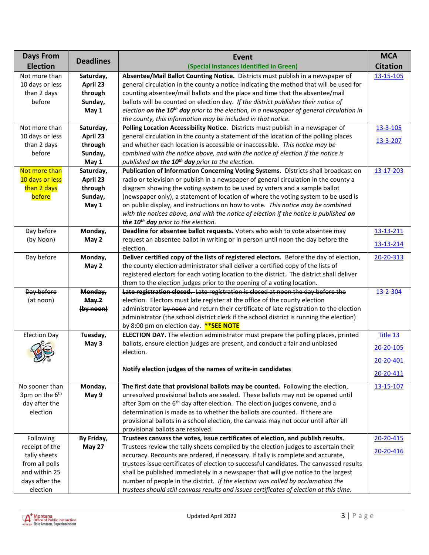| <b>Days From</b>           |                  | Event                                                                                                | <b>MCA</b>      |
|----------------------------|------------------|------------------------------------------------------------------------------------------------------|-----------------|
| <b>Election</b>            | <b>Deadlines</b> | (Special Instances Identified in Green)                                                              | <b>Citation</b> |
| Not more than              | Saturday,        | Absentee/Mail Ballot Counting Notice. Districts must publish in a newspaper of                       | 13-15-105       |
| 10 days or less            | April 23         | general circulation in the county a notice indicating the method that will be used for               |                 |
| than 2 days                | through          | counting absentee/mail ballots and the place and time that the absentee/mail                         |                 |
| before                     | Sunday,          | ballots will be counted on election day. If the district publishes their notice of                   |                 |
|                            | May 1            | election on the 10 <sup>th</sup> day prior to the election, in a newspaper of general circulation in |                 |
|                            |                  | the county, this information may be included in that notice.                                         |                 |
| Not more than              | Saturday,        | Polling Location Accessibility Notice. Districts must publish in a newspaper of                      | 13-3-105        |
| 10 days or less            | April 23         | general circulation in the county a statement of the location of the polling places                  |                 |
| than 2 days                | through          | and whether each location is accessible or inaccessible. This notice may be                          | 13-3-207        |
| before                     | Sunday,          | combined with the notice above, and with the notice of election if the notice is                     |                 |
|                            | May 1            | published on the 10 <sup>th</sup> day prior to the election.                                         |                 |
| Not more than              | Saturday,        | Publication of Information Concerning Voting Systems. Districts shall broadcast on                   | 13-17-203       |
| 10 days or less            | April 23         | radio or television or publish in a newspaper of general circulation in the county a                 |                 |
| than 2 days                | through          | diagram showing the voting system to be used by voters and a sample ballot                           |                 |
| before                     | Sunday,          | (newspaper only), a statement of location of where the voting system to be used is                   |                 |
|                            | May 1            | on public display, and instructions on how to vote. This notice may be combined                      |                 |
|                            |                  | with the notices above, and with the notice of election if the notice is published on                |                 |
|                            |                  | the 10 <sup>th</sup> day prior to the election.                                                      |                 |
| Day before                 | Monday,          | Deadline for absentee ballot requests. Voters who wish to vote absentee may                          | 13-13-211       |
| (by Noon)                  | May 2            | request an absentee ballot in writing or in person until noon the day before the                     | 13-13-214       |
|                            |                  | election.                                                                                            |                 |
| Day before                 | Monday,          | Deliver certified copy of the lists of registered electors. Before the day of election,              | 20-20-313       |
|                            | May 2            | the county election administrator shall deliver a certified copy of the lists of                     |                 |
|                            |                  | registered electors for each voting location to the district. The district shall deliver             |                 |
|                            |                  | them to the election judges prior to the opening of a voting location.                               |                 |
| Day before                 | Monday,          | Late registration closed. Late registration is closed at noon the day before the                     | 13-2-304        |
| (at noon)                  | May <sub>2</sub> | election. Electors must late register at the office of the county election                           |                 |
|                            | (by noon)        | administrator by noon and return their certificate of late registration to the election              |                 |
|                            |                  | administrator (the school district clerk if the school district is running the election)             |                 |
|                            |                  | by 8:00 pm on election day. ** SEE NOTE                                                              |                 |
| <b>Election Day</b>        | Tuesday,         | <b>ELECTION DAY.</b> The election administrator must prepare the polling places, printed             | Title 13        |
|                            | May 3            | ballots, ensure election judges are present, and conduct a fair and unbiased                         | 20-20-105       |
|                            |                  | election.                                                                                            |                 |
|                            |                  |                                                                                                      | 20-20-401       |
|                            |                  | Notify election judges of the names of write-in candidates                                           | 20-20-411       |
| No sooner than             | Monday,          | The first date that provisional ballots may be counted. Following the election,                      | 13-15-107       |
| 3pm on the 6 <sup>th</sup> | May 9            | unresolved provisional ballots are sealed. These ballots may not be opened until                     |                 |
| day after the              |                  | after 3pm on the 6 <sup>th</sup> day after election. The election judges convene, and a              |                 |
| election                   |                  | determination is made as to whether the ballots are counted. If there are                            |                 |
|                            |                  | provisional ballots in a school election, the canvass may not occur until after all                  |                 |
|                            |                  | provisional ballots are resolved.                                                                    |                 |
| Following                  | By Friday,       | Trustees canvass the votes, issue certificates of election, and publish results.                     | 20-20-415       |
| receipt of the             | May 27           | Trustees review the tally sheets compiled by the election judges to ascertain their                  |                 |
| tally sheets               |                  | accuracy. Recounts are ordered, if necessary. If tally is complete and accurate,                     | 20-20-416       |
| from all polls             |                  | trustees issue certificates of election to successful candidates. The canvassed results              |                 |
| and within 25              |                  | shall be published immediately in a newspaper that will give notice to the largest                   |                 |
| days after the             |                  | number of people in the district. If the election was called by acclamation the                      |                 |
| election                   |                  | trustees should still canvass results and issues certificates of election at this time.              |                 |

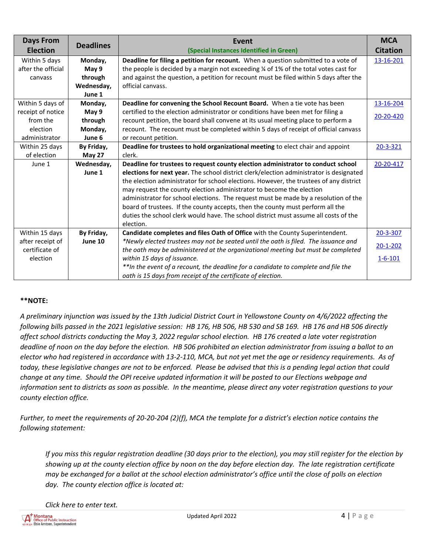| <b>Days From</b><br><b>Election</b>                              | <b>Deadlines</b>                          | Event<br>(Special Instances Identified in Green)                                                                                                                                                                                                                                                                                                                                                                                                                                                                                                                                                                            | <b>MCA</b><br><b>Citation</b>               |
|------------------------------------------------------------------|-------------------------------------------|-----------------------------------------------------------------------------------------------------------------------------------------------------------------------------------------------------------------------------------------------------------------------------------------------------------------------------------------------------------------------------------------------------------------------------------------------------------------------------------------------------------------------------------------------------------------------------------------------------------------------------|---------------------------------------------|
| Within 5 days<br>after the official<br>canvass                   | Monday,<br>May 9<br>through<br>Wednesday, | Deadline for filing a petition for recount. When a question submitted to a vote of<br>the people is decided by a margin not exceeding % of 1% of the total votes cast for<br>and against the question, a petition for recount must be filed within 5 days after the<br>official canvass.                                                                                                                                                                                                                                                                                                                                    | 13-16-201                                   |
| Within 5 days of                                                 | June 1<br>Monday,                         | Deadline for convening the School Recount Board. When a tie vote has been                                                                                                                                                                                                                                                                                                                                                                                                                                                                                                                                                   | 13-16-204                                   |
| receipt of notice<br>from the<br>election<br>administrator       | May 9<br>through<br>Monday,<br>June 6     | certified to the election administrator or conditions have been met for filing a<br>recount petition, the board shall convene at its usual meeting place to perform a<br>recount. The recount must be completed within 5 days of receipt of official canvass<br>or recount petition.                                                                                                                                                                                                                                                                                                                                        | 20-20-420                                   |
| Within 25 days<br>of election                                    | By Friday,<br>May 27                      | Deadline for trustees to hold organizational meeting to elect chair and appoint<br>clerk.                                                                                                                                                                                                                                                                                                                                                                                                                                                                                                                                   | 20-3-321                                    |
| June 1                                                           | Wednesday,<br>June 1                      | Deadline for trustees to request county election administrator to conduct school<br>elections for next year. The school district clerk/election administrator is designated<br>the election administrator for school elections. However, the trustees of any district<br>may request the county election administrator to become the election<br>administrator for school elections. The request must be made by a resolution of the<br>board of trustees. If the county accepts, then the county must perform all the<br>duties the school clerk would have. The school district must assume all costs of the<br>election. | 20-20-417                                   |
| Within 15 days<br>after receipt of<br>certificate of<br>election | By Friday,<br>June 10                     | Candidate completes and files Oath of Office with the County Superintendent.<br>*Newly elected trustees may not be seated until the oath is filed. The issuance and<br>the oath may be administered at the organizational meeting but must be completed<br>within 15 days of issuance.<br>** In the event of a recount, the deadline for a candidate to complete and file the<br>oath is 15 days from receipt of the certificate of election.                                                                                                                                                                               | 20-3-307<br>$20 - 1 - 202$<br>$1 - 6 - 101$ |

## **\*\*NOTE:**

*A preliminary injunction was issued by the 13th Judicial District Court in Yellowstone County on 4/6/2022 affecting the following bills passed in the 2021 legislative session: HB 176, HB 506, HB 530 and SB 169. HB 176 and HB 506 directly affect school districts conducting the May 3, 2022 regular school election. HB 176 created a late voter registration deadline of noon on the day before the election. HB 506 prohibited an election administrator from issuing a ballot to an elector who had registered in accordance with 13-2-110, MCA, but not yet met the age or residency requirements. As of today, these legislative changes are not to be enforced. Please be advised that this is a pending legal action that could change at any time. Should the OPI receive updated information it will be posted to our Elections webpage and information sent to districts as soon as possible. In the meantime, please direct any voter registration questions to your county election office.*

*Further, to meet the requirements of 20-20-204 (2)(f), MCA the template for a district's election notice contains the following statement:*

*If you miss this regular registration deadline (30 days prior to the election), you may still register for the election by showing up at the county election office by noon on the day before election day. The late registration certificate may be exchanged for a ballot at the school election administrator's office until the close of polls on election day. The county election office is located at:*

*Click here to enter text.*